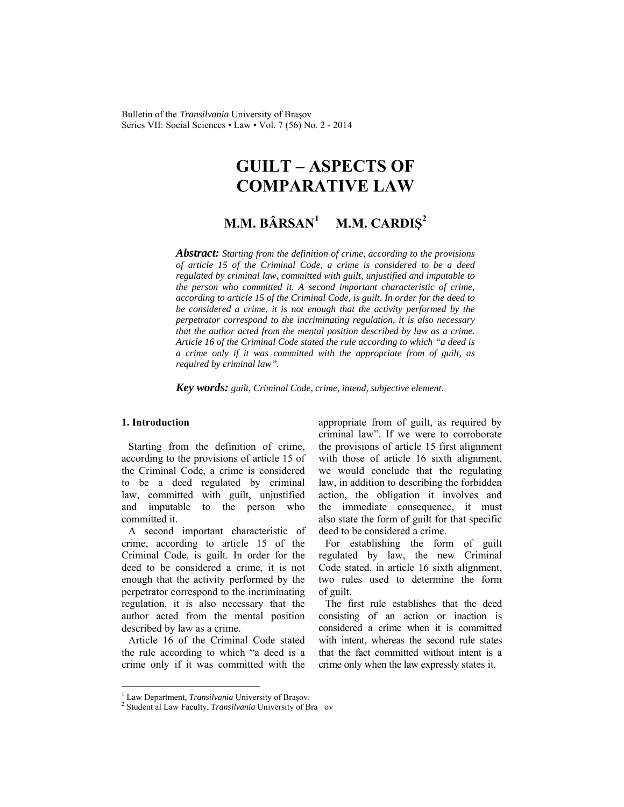# **GUILT – ASPECTS OF COMPARATIVE LAW**

#### **M.M. BÂRSAN<sup>1</sup> M.M. CARDIŞ<sup>2</sup>**

*Abstract: Starting from the definition of crime, according to the provisions of article 15 of the Criminal Code, a crime is considered to be a deed regulated by criminal law, committed with guilt, unjustified and imputable to the person who committed it. A second important characteristic of crime, according to article 15 of the Criminal Code, is guilt. In order for the deed to be considered a crime, it is not enough that the activity performed by the perpetrator correspond to the incriminating regulation, it is also necessary that the author acted from the mental position described by law as a crime. Article 16 of the Criminal Code stated the rule according to which "a deed is a crime only if it was committed with the appropriate from of guilt, as required by criminal law".* 

*Key words: guilt, Criminal Code, crime, intend, subjective element.*

#### **1. Introduction**

l

Starting from the definition of crime, according to the provisions of article 15 of the Criminal Code, a crime is considered to be a deed regulated by criminal law, committed with guilt, unjustified and imputable to the person who committed it.

A second important characteristic of crime, according to article 15 of the Criminal Code, is guilt. In order for the deed to be considered a crime, it is not enough that the activity performed by the perpetrator correspond to the incriminating regulation, it is also necessary that the author acted from the mental position described by law as a crime.

Article 16 of the Criminal Code stated the rule according to which "a deed is a crime only if it was committed with the appropriate from of guilt, as required by criminal law". If we were to corroborate the provisions of article 15 first alignment with those of article 16 sixth alignment, we would conclude that the regulating law, in addition to describing the forbidden action, the obligation it involves and the immediate consequence, it must also state the form of guilt for that specific deed to be considered a crime.

For establishing the form of guilt regulated by law, the new Criminal Code stated, in article 16 sixth alignment, two rules used to determine the form of guilt.

The first rule establishes that the deed consisting of an action or inaction is considered a crime when it is committed with intent, whereas the second rule states that the fact committed without intent is a crime only when the law expressly states it.

<sup>&</sup>lt;sup>1</sup> Law Department, *Transilvania* University of Brașov.<br><sup>2</sup> Student al Law Fosulty, *Transilvania* University of Br

<sup>&</sup>lt;sup>2</sup> Student al Law Faculty, *Transilvania* University of Bra ov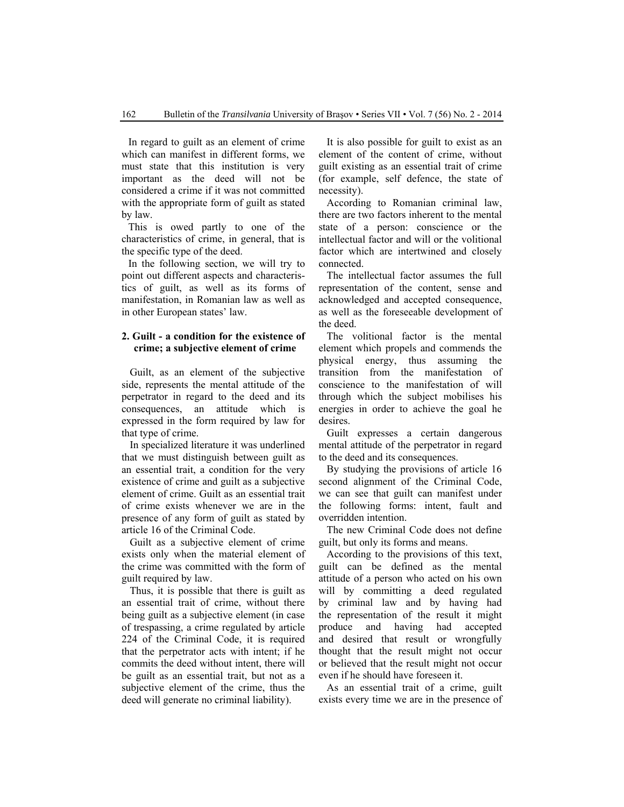In regard to guilt as an element of crime which can manifest in different forms, we must state that this institution is very important as the deed will not be considered a crime if it was not committed with the appropriate form of guilt as stated by law.

This is owed partly to one of the characteristics of crime, in general, that is the specific type of the deed.

In the following section, we will try to point out different aspects and characteristics of guilt, as well as its forms of manifestation, in Romanian law as well as in other European states' law.

## **2. Guilt - a condition for the existence of crime; a subjective element of crime**

Guilt, as an element of the subjective side, represents the mental attitude of the perpetrator in regard to the deed and its consequences, an attitude which is expressed in the form required by law for that type of crime.

In specialized literature it was underlined that we must distinguish between guilt as an essential trait, a condition for the very existence of crime and guilt as a subjective element of crime. Guilt as an essential trait of crime exists whenever we are in the presence of any form of guilt as stated by article 16 of the Criminal Code.

Guilt as a subjective element of crime exists only when the material element of the crime was committed with the form of guilt required by law.

Thus, it is possible that there is guilt as an essential trait of crime, without there being guilt as a subjective element (in case of trespassing, a crime regulated by article 224 of the Criminal Code, it is required that the perpetrator acts with intent; if he commits the deed without intent, there will be guilt as an essential trait, but not as a subjective element of the crime, thus the deed will generate no criminal liability).

It is also possible for guilt to exist as an element of the content of crime, without guilt existing as an essential trait of crime (for example, self defence, the state of necessity).

According to Romanian criminal law, there are two factors inherent to the mental state of a person: conscience or the intellectual factor and will or the volitional factor which are intertwined and closely connected.

The intellectual factor assumes the full representation of the content, sense and acknowledged and accepted consequence, as well as the foreseeable development of the deed.

The volitional factor is the mental element which propels and commends the physical energy, thus assuming the transition from the manifestation of conscience to the manifestation of will through which the subject mobilises his energies in order to achieve the goal he desires.

Guilt expresses a certain dangerous mental attitude of the perpetrator in regard to the deed and its consequences.

By studying the provisions of article 16 second alignment of the Criminal Code, we can see that guilt can manifest under the following forms: intent, fault and overridden intention.

The new Criminal Code does not define guilt, but only its forms and means.

According to the provisions of this text, guilt can be defined as the mental attitude of a person who acted on his own will by committing a deed regulated by criminal law and by having had the representation of the result it might produce and having had accepted and desired that result or wrongfully thought that the result might not occur or believed that the result might not occur even if he should have foreseen it.

As an essential trait of a crime, guilt exists every time we are in the presence of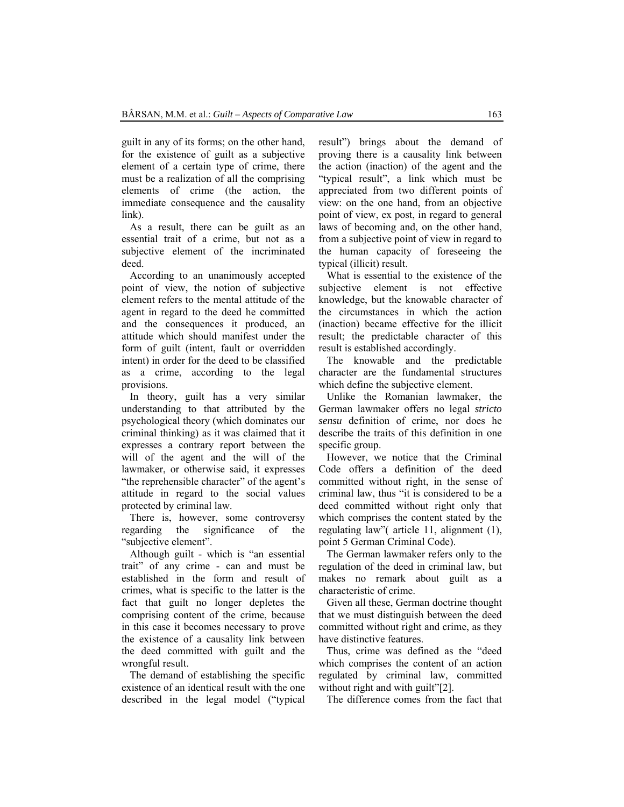guilt in any of its forms; on the other hand, for the existence of guilt as a subjective element of a certain type of crime, there must be a realization of all the comprising elements of crime (the action, the immediate consequence and the causality link).

As a result, there can be guilt as an essential trait of a crime, but not as a subjective element of the incriminated deed.

According to an unanimously accepted point of view, the notion of subjective element refers to the mental attitude of the agent in regard to the deed he committed and the consequences it produced, an attitude which should manifest under the form of guilt (intent, fault or overridden intent) in order for the deed to be classified as a crime, according to the legal provisions.

In theory, guilt has a very similar understanding to that attributed by the psychological theory (which dominates our criminal thinking) as it was claimed that it expresses a contrary report between the will of the agent and the will of the lawmaker, or otherwise said, it expresses "the reprehensible character" of the agent's attitude in regard to the social values protected by criminal law.

There is, however, some controversy regarding the significance of the "subjective element".

Although guilt - which is "an essential trait" of any crime - can and must be established in the form and result of crimes, what is specific to the latter is the fact that guilt no longer depletes the comprising content of the crime, because in this case it becomes necessary to prove the existence of a causality link between the deed committed with guilt and the wrongful result.

The demand of establishing the specific existence of an identical result with the one described in the legal model ("typical result") brings about the demand of proving there is a causality link between the action (inaction) of the agent and the "typical result", a link which must be appreciated from two different points of view: on the one hand, from an objective point of view, ex post, in regard to general laws of becoming and, on the other hand, from a subjective point of view in regard to the human capacity of foreseeing the typical (illicit) result.

What is essential to the existence of the subjective element is not effective knowledge, but the knowable character of the circumstances in which the action (inaction) became effective for the illicit result; the predictable character of this result is established accordingly.

The knowable and the predictable character are the fundamental structures which define the subjective element.

Unlike the Romanian lawmaker, the German lawmaker offers no legal *stricto sensu* definition of crime, nor does he describe the traits of this definition in one specific group.

However, we notice that the Criminal Code offers a definition of the deed committed without right, in the sense of criminal law, thus "it is considered to be a deed committed without right only that which comprises the content stated by the regulating law"( article 11, alignment (1), point 5 German Criminal Code).

The German lawmaker refers only to the regulation of the deed in criminal law, but makes no remark about guilt as a characteristic of crime.

Given all these, German doctrine thought that we must distinguish between the deed committed without right and crime, as they have distinctive features.

Thus, crime was defined as the "deed which comprises the content of an action regulated by criminal law, committed without right and with guilt"[2].

The difference comes from the fact that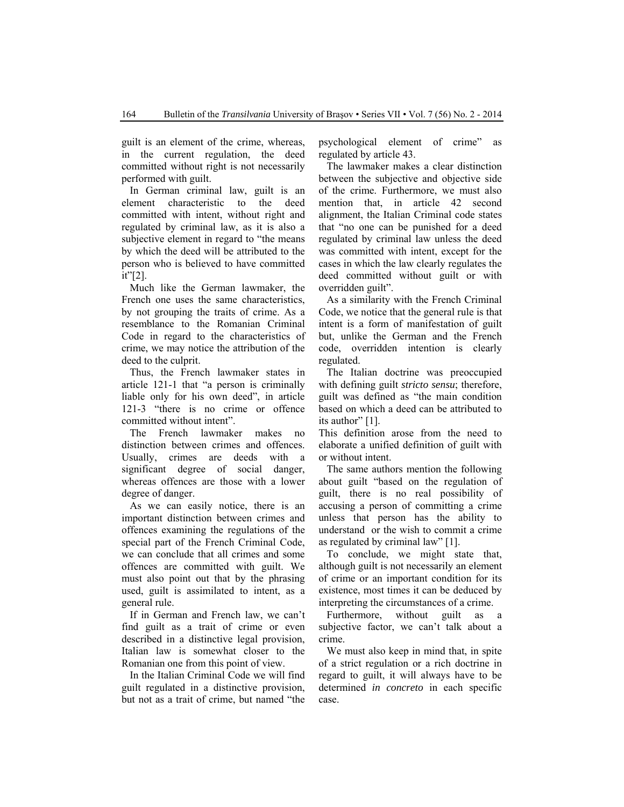guilt is an element of the crime, whereas, in the current regulation, the deed committed without right is not necessarily performed with guilt.

In German criminal law, guilt is an element characteristic to the deed committed with intent, without right and regulated by criminal law, as it is also a subjective element in regard to "the means by which the deed will be attributed to the person who is believed to have committed it"[2].

Much like the German lawmaker, the French one uses the same characteristics, by not grouping the traits of crime. As a resemblance to the Romanian Criminal Code in regard to the characteristics of crime, we may notice the attribution of the deed to the culprit.

Thus, the French lawmaker states in article 121-1 that "a person is criminally liable only for his own deed", in article 121-3 "there is no crime or offence committed without intent".

The French lawmaker makes no distinction between crimes and offences. Usually, crimes are deeds with a significant degree of social danger, whereas offences are those with a lower degree of danger.

As we can easily notice, there is an important distinction between crimes and offences examining the regulations of the special part of the French Criminal Code, we can conclude that all crimes and some offences are committed with guilt. We must also point out that by the phrasing used, guilt is assimilated to intent, as a general rule.

If in German and French law, we can't find guilt as a trait of crime or even described in a distinctive legal provision, Italian law is somewhat closer to the Romanian one from this point of view.

In the Italian Criminal Code we will find guilt regulated in a distinctive provision, but not as a trait of crime, but named "the

psychological element of crime" as regulated by article 43.

The lawmaker makes a clear distinction between the subjective and objective side of the crime. Furthermore, we must also mention that, in article 42 second alignment, the Italian Criminal code states that "no one can be punished for a deed regulated by criminal law unless the deed was committed with intent, except for the cases in which the law clearly regulates the deed committed without guilt or with overridden guilt".

As a similarity with the French Criminal Code, we notice that the general rule is that intent is a form of manifestation of guilt but, unlike the German and the French code, overridden intention is clearly regulated.

The Italian doctrine was preoccupied with defining guilt *stricto sensu*; therefore, guilt was defined as "the main condition based on which a deed can be attributed to its author" [1].

This definition arose from the need to elaborate a unified definition of guilt with or without intent.

The same authors mention the following about guilt "based on the regulation of guilt, there is no real possibility of accusing a person of committing a crime unless that person has the ability to understand or the wish to commit a crime as regulated by criminal law" [1].

To conclude, we might state that, although guilt is not necessarily an element of crime or an important condition for its existence, most times it can be deduced by interpreting the circumstances of a crime.

Furthermore, without guilt as a subjective factor, we can't talk about a crime.

We must also keep in mind that, in spite of a strict regulation or a rich doctrine in regard to guilt, it will always have to be determined *in concreto* in each specific case.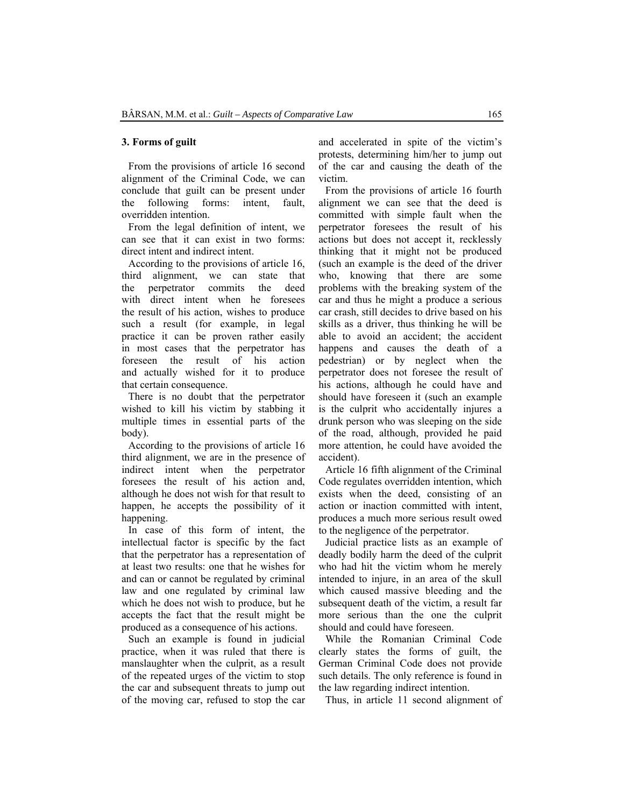#### **3. Forms of guilt**

From the provisions of article 16 second alignment of the Criminal Code, we can conclude that guilt can be present under the following forms: intent, fault, overridden intention.

From the legal definition of intent, we can see that it can exist in two forms: direct intent and indirect intent.

According to the provisions of article 16, third alignment, we can state that the perpetrator commits the deed with direct intent when he foresees the result of his action, wishes to produce such a result (for example, in legal practice it can be proven rather easily in most cases that the perpetrator has foreseen the result of his action and actually wished for it to produce that certain consequence.

There is no doubt that the perpetrator wished to kill his victim by stabbing it multiple times in essential parts of the body).

According to the provisions of article 16 third alignment, we are in the presence of indirect intent when the perpetrator foresees the result of his action and, although he does not wish for that result to happen, he accepts the possibility of it happening.

In case of this form of intent, the intellectual factor is specific by the fact that the perpetrator has a representation of at least two results: one that he wishes for and can or cannot be regulated by criminal law and one regulated by criminal law which he does not wish to produce, but he accepts the fact that the result might be produced as a consequence of his actions.

Such an example is found in judicial practice, when it was ruled that there is manslaughter when the culprit, as a result of the repeated urges of the victim to stop the car and subsequent threats to jump out of the moving car, refused to stop the car and accelerated in spite of the victim's protests, determining him/her to jump out of the car and causing the death of the victim.

From the provisions of article 16 fourth alignment we can see that the deed is committed with simple fault when the perpetrator foresees the result of his actions but does not accept it, recklessly thinking that it might not be produced (such an example is the deed of the driver who, knowing that there are some problems with the breaking system of the car and thus he might a produce a serious car crash, still decides to drive based on his skills as a driver, thus thinking he will be able to avoid an accident; the accident happens and causes the death of a pedestrian) or by neglect when the perpetrator does not foresee the result of his actions, although he could have and should have foreseen it (such an example is the culprit who accidentally injures a drunk person who was sleeping on the side of the road, although, provided he paid more attention, he could have avoided the accident).

Article 16 fifth alignment of the Criminal Code regulates overridden intention, which exists when the deed, consisting of an action or inaction committed with intent, produces a much more serious result owed to the negligence of the perpetrator.

Judicial practice lists as an example of deadly bodily harm the deed of the culprit who had hit the victim whom he merely intended to injure, in an area of the skull which caused massive bleeding and the subsequent death of the victim, a result far more serious than the one the culprit should and could have foreseen.

While the Romanian Criminal Code clearly states the forms of guilt, the German Criminal Code does not provide such details. The only reference is found in the law regarding indirect intention.

Thus, in article 11 second alignment of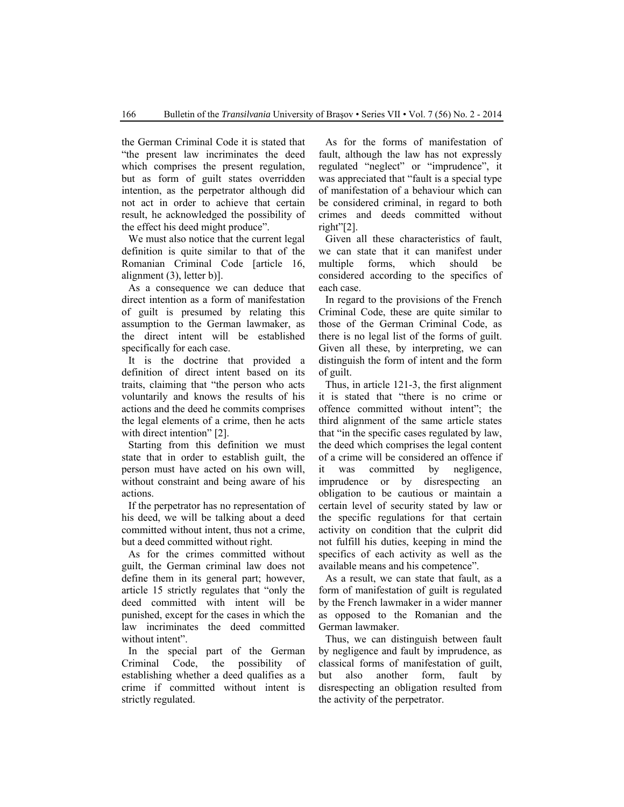the German Criminal Code it is stated that "the present law incriminates the deed which comprises the present regulation, but as form of guilt states overridden intention, as the perpetrator although did not act in order to achieve that certain result, he acknowledged the possibility of the effect his deed might produce".

We must also notice that the current legal definition is quite similar to that of the Romanian Criminal Code [article 16, alignment (3), letter b)].

As a consequence we can deduce that direct intention as a form of manifestation of guilt is presumed by relating this assumption to the German lawmaker, as the direct intent will be established specifically for each case.

It is the doctrine that provided a definition of direct intent based on its traits, claiming that "the person who acts voluntarily and knows the results of his actions and the deed he commits comprises the legal elements of a crime, then he acts with direct intention" [2].

Starting from this definition we must state that in order to establish guilt, the person must have acted on his own will, without constraint and being aware of his actions.

If the perpetrator has no representation of his deed, we will be talking about a deed committed without intent, thus not a crime, but a deed committed without right.

As for the crimes committed without guilt, the German criminal law does not define them in its general part; however, article 15 strictly regulates that "only the deed committed with intent will be punished, except for the cases in which the law incriminates the deed committed without intent".

In the special part of the German Criminal Code, the possibility of establishing whether a deed qualifies as a crime if committed without intent is strictly regulated.

As for the forms of manifestation of fault, although the law has not expressly regulated "neglect" or "imprudence", it was appreciated that "fault is a special type of manifestation of a behaviour which can be considered criminal, in regard to both crimes and deeds committed without right"[2].

Given all these characteristics of fault, we can state that it can manifest under multiple forms, which should be considered according to the specifics of each case.

In regard to the provisions of the French Criminal Code, these are quite similar to those of the German Criminal Code, as there is no legal list of the forms of guilt. Given all these, by interpreting, we can distinguish the form of intent and the form of guilt.

Thus, in article 121-3, the first alignment it is stated that "there is no crime or offence committed without intent"; the third alignment of the same article states that "in the specific cases regulated by law, the deed which comprises the legal content of a crime will be considered an offence if it was committed by negligence, imprudence or by disrespecting an obligation to be cautious or maintain a certain level of security stated by law or the specific regulations for that certain activity on condition that the culprit did not fulfill his duties, keeping in mind the specifics of each activity as well as the available means and his competence".

As a result, we can state that fault, as a form of manifestation of guilt is regulated by the French lawmaker in a wider manner as opposed to the Romanian and the German lawmaker.

Thus, we can distinguish between fault by negligence and fault by imprudence, as classical forms of manifestation of guilt, but also another form, fault by disrespecting an obligation resulted from the activity of the perpetrator.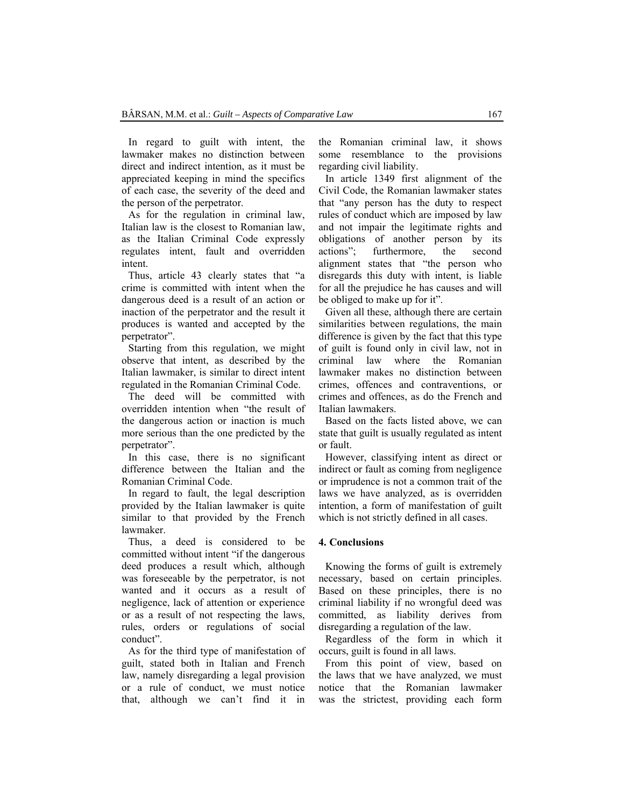In regard to guilt with intent, the lawmaker makes no distinction between direct and indirect intention, as it must be appreciated keeping in mind the specifics of each case, the severity of the deed and the person of the perpetrator.

As for the regulation in criminal law, Italian law is the closest to Romanian law, as the Italian Criminal Code expressly regulates intent, fault and overridden intent.

Thus, article 43 clearly states that "a crime is committed with intent when the dangerous deed is a result of an action or inaction of the perpetrator and the result it produces is wanted and accepted by the perpetrator".

Starting from this regulation, we might observe that intent, as described by the Italian lawmaker, is similar to direct intent regulated in the Romanian Criminal Code.

The deed will be committed with overridden intention when "the result of the dangerous action or inaction is much more serious than the one predicted by the perpetrator".

In this case, there is no significant difference between the Italian and the Romanian Criminal Code.

In regard to fault, the legal description provided by the Italian lawmaker is quite similar to that provided by the French lawmaker.

Thus, a deed is considered to be committed without intent "if the dangerous deed produces a result which, although was foreseeable by the perpetrator, is not wanted and it occurs as a result of negligence, lack of attention or experience or as a result of not respecting the laws, rules, orders or regulations of social conduct".

As for the third type of manifestation of guilt, stated both in Italian and French law, namely disregarding a legal provision or a rule of conduct, we must notice that, although we can't find it in

the Romanian criminal law, it shows some resemblance to the provisions regarding civil liability.

In article 1349 first alignment of the Civil Code, the Romanian lawmaker states that "any person has the duty to respect rules of conduct which are imposed by law and not impair the legitimate rights and obligations of another person by its actions"; furthermore, the second alignment states that "the person who disregards this duty with intent, is liable for all the prejudice he has causes and will be obliged to make up for it".

Given all these, although there are certain similarities between regulations, the main difference is given by the fact that this type of guilt is found only in civil law, not in criminal law where the Romanian lawmaker makes no distinction between crimes, offences and contraventions, or crimes and offences, as do the French and Italian lawmakers.

Based on the facts listed above, we can state that guilt is usually regulated as intent or fault.

However, classifying intent as direct or indirect or fault as coming from negligence or imprudence is not a common trait of the laws we have analyzed, as is overridden intention, a form of manifestation of guilt which is not strictly defined in all cases.

## **4. Conclusions**

Knowing the forms of guilt is extremely necessary, based on certain principles. Based on these principles, there is no criminal liability if no wrongful deed was committed, as liability derives from disregarding a regulation of the law.

Regardless of the form in which it occurs, guilt is found in all laws.

From this point of view, based on the laws that we have analyzed, we must notice that the Romanian lawmaker was the strictest, providing each form